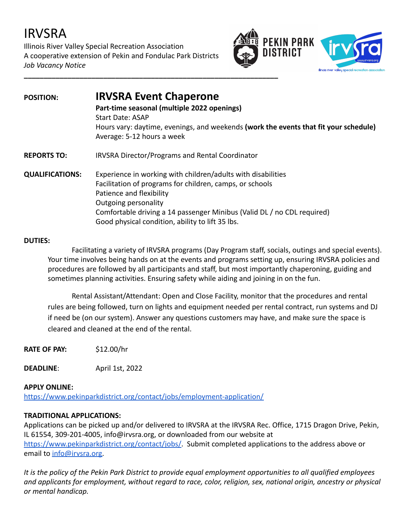# IRVSRA

Illinois River Valley Special Recreation Association A cooperative extension of Pekin and Fondulac Park Districts *Job Vacancy Notice*





### **POSITION: IRVSRA Event Chaperone Part-time seasonal (multiple 2022 openings)** Start Date: ASAP Hours vary: daytime, evenings, and weekends **(work the events that fit your schedule)** Average: 5-12 hours a week **REPORTS TO:** IRVSRA Director/Programs and Rental Coordinator **QUALIFICATIONS:** Experience in working with children/adults with disabilities Facilitation of programs for children, camps, or schools Patience and flexibility Outgoing personality Comfortable driving a 14 passenger Minibus (Valid DL / no CDL required) Good physical condition, ability to lift 35 lbs.

#### **DUTIES:**

Facilitating a variety of IRVSRA programs (Day Program staff, socials, outings and special events). Your time involves being hands on at the events and programs setting up, ensuring IRVSRA policies and procedures are followed by all participants and staff, but most importantly chaperoning, guiding and sometimes planning activities. Ensuring safety while aiding and joining in on the fun.

Rental Assistant/Attendant: Open and Close Facility, monitor that the procedures and rental rules are being followed, turn on lights and equipment needed per rental contract, run systems and DJ if need be (on our system). Answer any questions customers may have, and make sure the space is cleared and cleaned at the end of the rental.

**RATE OF PAY:** \$12.00/hr

**DEADLINE**: April 1st, 2022

#### **APPLY ONLINE:**

<https://www.pekinparkdistrict.org/contact/jobs/employment-application/>

#### **TRADITIONAL APPLICATIONS:**

Applications can be picked up and/or delivered to IRVSRA at the IRVSRA Rec. Office, 1715 Dragon Drive, Pekin, IL 61554, 309-201-4005, info@irvsra.org, or downloaded from our website at [https://www.pekinparkdistrict.org/contact/jobs/.](https://www.pekinparkdistrict.org/contact/jobs/) Submit completed applications to the address above or email to [info@irvsra.org.](mailto:info@irvsra.org)

*It is the policy of the Pekin Park District to provide equal employment opportunities to all qualified employees and applicants for employment, without regard to race, color, religion, sex, national origin, ancestry or physical or mental handicap.*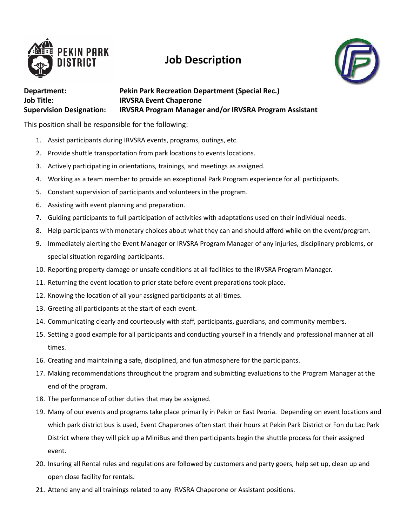

## **Job Description**



#### **Department: Pekin Park Recreation Department (Special Rec.) Job Title: IRVSRA Event Chaperone Supervision Designation: IRVSRA Program Manager and/or IRVSRA Program Assistant**

This position shall be responsible for the following:

- 1. Assist participants during IRVSRA events, programs, outings, etc.
- 2. Provide shuttle transportation from park locations to events locations.
- 3. Actively participating in orientations, trainings, and meetings as assigned.
- 4. Working as a team member to provide an exceptional Park Program experience for all participants.
- 5. Constant supervision of participants and volunteers in the program.
- 6. Assisting with event planning and preparation.
- 7. Guiding participants to full participation of activities with adaptations used on their individual needs.
- 8. Help participants with monetary choices about what they can and should afford while on the event/program.
- 9. Immediately alerting the Event Manager or IRVSRA Program Manager of any injuries, disciplinary problems, or special situation regarding participants.
- 10. Reporting property damage or unsafe conditions at all facilities to the IRVSRA Program Manager.
- 11. Returning the event location to prior state before event preparations took place.
- 12. Knowing the location of all your assigned participants at all times.
- 13. Greeting all participants at the start of each event.
- 14. Communicating clearly and courteously with staff, participants, guardians, and community members.
- 15. Setting a good example for all participants and conducting yourself in a friendly and professional manner at all times.
- 16. Creating and maintaining a safe, disciplined, and fun atmosphere for the participants.
- 17. Making recommendations throughout the program and submitting evaluations to the Program Manager at the end of the program.
- 18. The performance of other duties that may be assigned.
- 19. Many of our events and programs take place primarily in Pekin or East Peoria. Depending on event locations and which park district bus is used, Event Chaperones often start their hours at Pekin Park District or Fon du Lac Park District where they will pick up a MiniBus and then participants begin the shuttle process for their assigned event.
- 20. Insuring all Rental rules and regulations are followed by customers and party goers, help set up, clean up and open close facility for rentals.
- 21. Attend any and all trainings related to any IRVSRA Chaperone or Assistant positions.